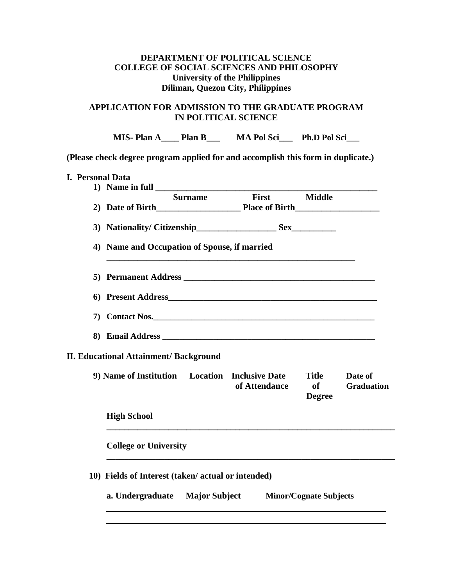## **DEPARTMENT OF POLITICAL SCIENCE COLLEGE OF SOCIAL SCIENCES AND PHILOSOPHY University of the Philippines Diliman, Quezon City, Philippines**

## **APPLICATION FOR ADMISSION TO THE GRADUATE PROGRAM IN POLITICAL SCIENCE**

 **MIS- Plan A\_\_\_\_ Plan B\_\_\_ MA Pol Sci\_\_\_ Ph.D Pol Sci\_\_\_**

**(Please check degree program applied for and accomplish this form in duplicate.)**

## **I. Personal Data**

|                                                                           | 1) Name in full                                   |                |               |                                     |                              |  |
|---------------------------------------------------------------------------|---------------------------------------------------|----------------|---------------|-------------------------------------|------------------------------|--|
|                                                                           |                                                   | <b>Surname</b> |               | First Middle                        |                              |  |
|                                                                           |                                                   |                |               |                                     |                              |  |
|                                                                           |                                                   |                |               |                                     |                              |  |
|                                                                           | 4) Name and Occupation of Spouse, if married      |                |               |                                     |                              |  |
|                                                                           |                                                   |                |               |                                     |                              |  |
|                                                                           |                                                   |                |               |                                     |                              |  |
|                                                                           | 7) Contact Nos.                                   |                |               |                                     |                              |  |
|                                                                           |                                                   |                |               |                                     |                              |  |
|                                                                           | <b>II. Educational Attainment/ Background</b>     |                |               |                                     |                              |  |
|                                                                           | 9) Name of Institution Location Inclusive Date    |                | of Attendance | <b>Title</b><br>of<br><b>Degree</b> | Date of<br><b>Graduation</b> |  |
|                                                                           | <b>High School</b>                                |                |               |                                     |                              |  |
|                                                                           | <b>College or University</b>                      |                |               |                                     |                              |  |
|                                                                           | 10) Fields of Interest (taken/actual or intended) |                |               |                                     |                              |  |
| a. Undergraduate<br><b>Major Subject</b><br><b>Minor/Cognate Subjects</b> |                                                   |                |               |                                     |                              |  |
|                                                                           |                                                   |                |               |                                     |                              |  |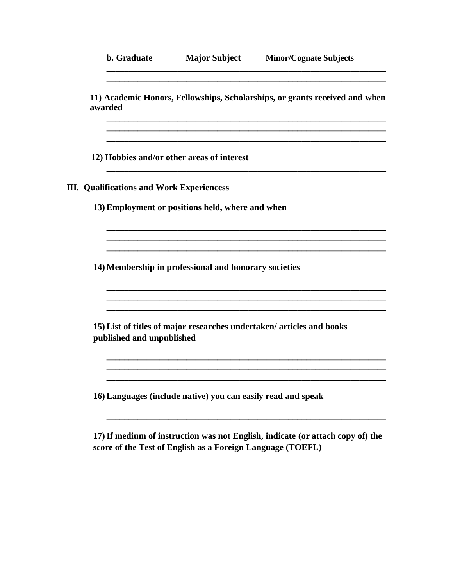| b. Graduate                                      | <b>Major Subject</b>                                         | <b>Minor/Cognate Subjects</b>                                               |
|--------------------------------------------------|--------------------------------------------------------------|-----------------------------------------------------------------------------|
| awarded                                          |                                                              | 11) Academic Honors, Fellowships, Scholarships, or grants received and when |
|                                                  | 12) Hobbies and/or other areas of interest                   |                                                                             |
| <b>III.</b> Qualifications and Work Experiencess |                                                              |                                                                             |
|                                                  | 13) Employment or positions held, where and when             |                                                                             |
|                                                  |                                                              |                                                                             |
|                                                  | 14) Membership in professional and honorary societies        |                                                                             |
| published and unpublished                        |                                                              | 15) List of titles of major researches undertaken/articles and books        |
|                                                  | 16) Languages (include native) you can easily read and speak |                                                                             |

**17)If medium of instruction was not English, indicate (or attach copy of) the score of the Test of English as a Foreign Language (TOEFL)**